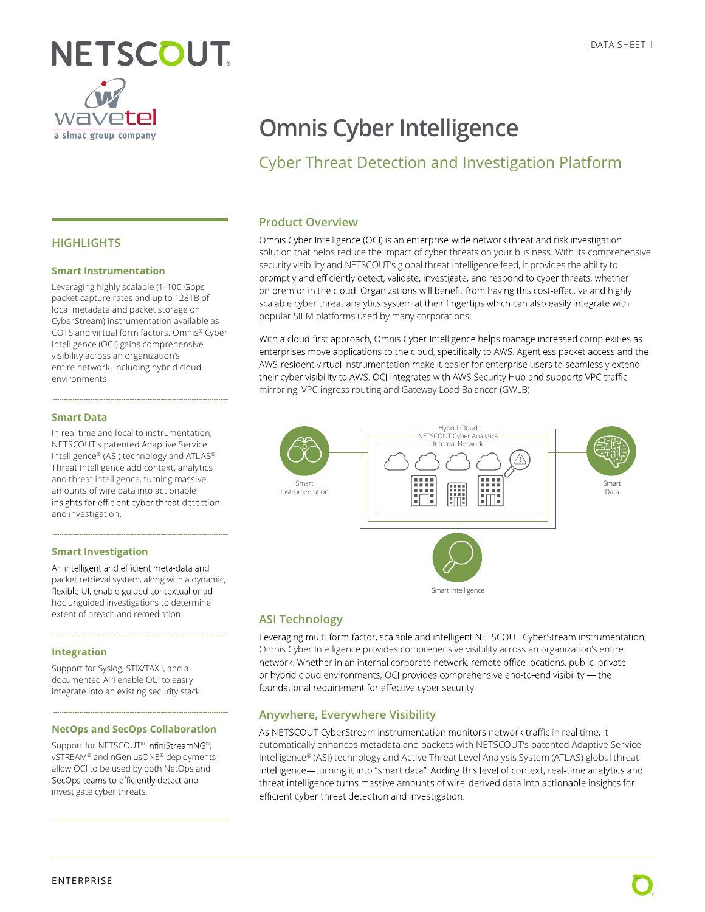



# Omnis Cyber Intelligence

## Cyber Threat Detection and Investigation Platform

### Product Overview

HIGHLIGHTS **State of the Company of Contract COLD** is an enterprise-wide network threat and risk investigation Smart Instrumentation security visibility and NETSCOOTS global threat intelligence leed, it provides the ability to<br>promptly and efficiently detect, validate, investigate, and respond to cyber threats, whether Leveraging highly scalable (1-100 Gbps on prem or in the cloud. Organizations will benefit from having this cost-effective and highly packet capture rates and up to 128TB of scalable cyber threat analytics system at their fingertips which can also easily integrate with solution that helps reduce the impact of cyber threats on your business. With its comprehensive security visibility and NETSCOUT's global threat intelligence feed, it provides the ability to popular SIEM platforms used by many corporations.

COTS and virtual form factors. Omnis® Cyber<br>Intelligance (OCI) sains comprehensive with a cloud-first approach, Omnis Cyber Intelligence helps manage increased complexities as Intelligence (OCI) gains comprehensive<br>enterprises move applications to the cloud, specifically to AWS. Agentless packet access and the visibility across an organization's<br>AWS-resident virtual instrumentation make it easier for enterprise users to seamlessly extend<br>AWS-resident virtual instrumentation make it easier for enterprise users to seamlessly exten entire network, including hybrid cloud result to a AWS-resident virtual instrumentation make it easier for enterprise users to seamlessly exte<br>environments, and supports VPC traffic mirroring, VPC ingress routing and Gateway Load Balancer (GWLB).



### ASI Technology

Leveraging multi-form-factor, scalable and intelligent NETSCOUT CyberStream instrumentation, Integration Omnis Cyber Intelligence provides comprehensive visibility across an organization's entire Support for Syslog, STIX/TAXII, and a<br>Support for Syslog, STIX/TAXII, and a<br>or hybrid cloud environments; OCI provides comprehensive end-to-end visibility — the documented API enable OCI to easily<br>intograte into an ovisting socurity stack on the studient of the distributional requirement for effective cyber security.

#### Anywhere, Everywhere Visibility

NetOps and SecOps Collaboration As NETSCOUT CyberStream instrumentation monitors network traffic in real time, it automatically enhances metadata and packets with NETSCOUT's patented Adaptive Service Support for NETSCOUT® InfiniStreamNG®, automatically enhances metadata and packets with NETSCOUT's patented Adaptive Service<br>vSTREAM® and nGeniusONE® deployments Intelligence® (ASI) technology and Active Threat Lev allow OCI to be used by both NetOps and intelligence—turning it into "smart data". Adding this level of context, real-time analytics and threat intelligence turns massive amounts of wire-derived data into actionable insights for efficient cyber threat detection and investigation.

local metadata and packet storage on CyberStream) instrumentation available as environments.

#### Smart Data

In real time and local to instrumentation, NETSCOUT's patented Adaptive Service Threat Intelligence add context, analytics and threat intelligence, turning massive amounts of wire data into actionable insights for efficient cyber threat detection and investigation.

#### Smart Investigation

An intelligent and efficient meta-data and packet retrieval system, along with a dynamic, flexible UI, enable guided contextual or ad hoc unguided investigations to determine extent of breach and remediation.

integrate into an existing security stack.

SecOps teams to efficiently detect and investigate cyber threats.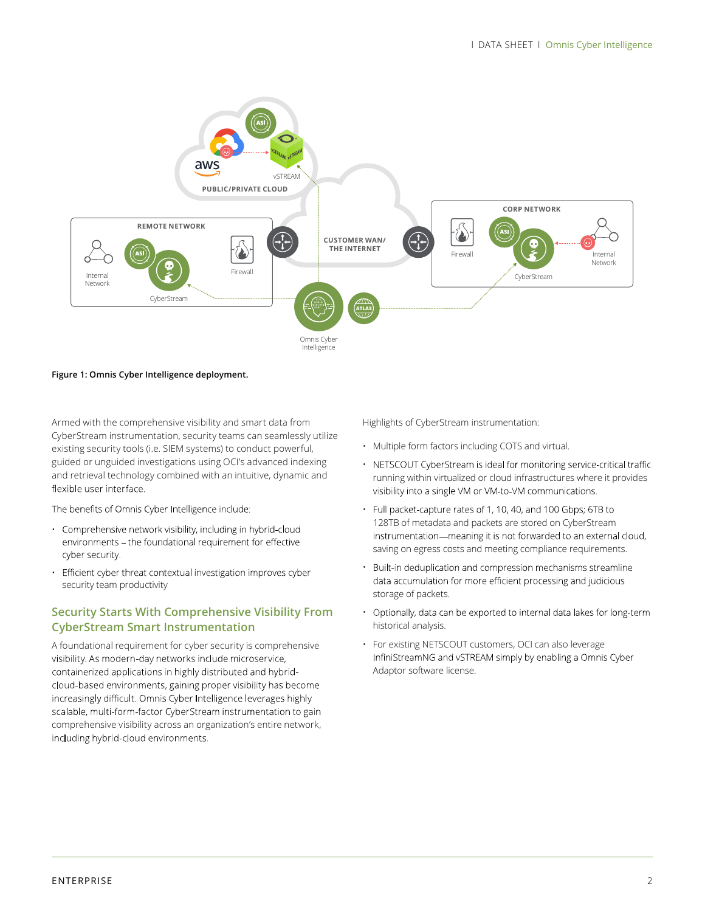

#### Figure 1: Omnis Cyber Intelligence deployment.

Armed with the comprehensive visibility and smart data from CyberStream instrumentation, security teams can seamlessly utilize existing security tools (i.e. SIEM systems) to conduct powerful, guided or unguided investigations using OCI's advanced indexing and retrieval technology combined with an intuitive, dynamic and<br>flexible user interface.<br>The benefits of Omnis Cyber Intelligence include:<br>• Comprehensive network visibility, including in hybrid-cloud

- environments the foundational requirement for effective cyber security.
- Efficient cyber threat contextual investigation improves cyber security team productivity

#### Security Starts With Comprehensive Visibility From CyberStream Smart Instrumentation

A foundational requirement for cyber security is comprehensive visibility. As modern-day networks include microservice, containerized applications in highly distributed and hybridcloud-based environments, gaining proper visibility has become increasingly difficult. Omnis Cyber Intelligence leverages highly scalable, multi-form-factor CyberStream instrumentation to gain comprehensive visibility across an organization's entire network, including hybrid-cloud environments.

Highlights of CyberStream instrumentation:

- Multiple form factors including COTS and virtual.
- NETSCOUT CyberStream is ideal for monitoring service-critical traffic running within virtualized or cloud infrastructures where it provides<br>• visibility into a single VM or VM-to-VM communications.<br>• Full packet-capture rates of 1, 10, 40, and 100 Gbps; 6TB to
- 128TB of metadata and packets are stored on CyberStream instrumentation-meaning it is not forwarded to an external cloud, saving on egress costs and meeting compliance requirements.
- Built-in deduplication and compression mechanisms streamline data accumulation for more efficient processing and judicious storage of packets.
- Optionally, data can be exported to internal data lakes for long-term historical analysis.
- For existing NETSCOUT customers, OCI can also leverage InfiniStreamNG and vSTREAM simply by enabling a Omnis Cyber Adaptor software license.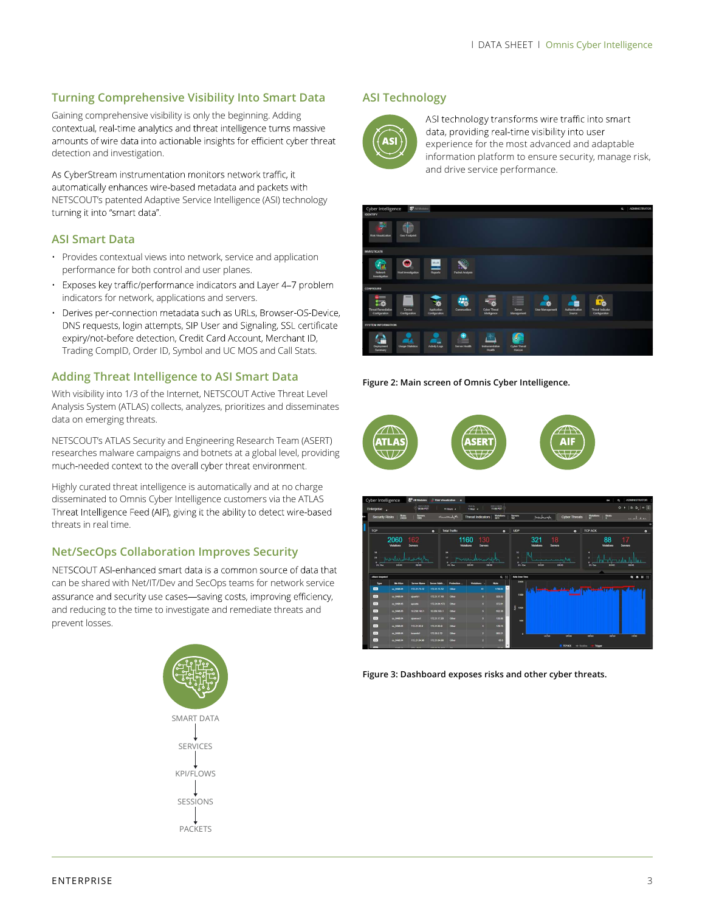### Turning Comprehensive Visibility Into Smart Data

Gaining comprehensive visibility is only the beginning. Adding contextual, real-time analytics and threat intelligence turns massive amounts of wire data into actionable insights for efficient cyber threat detection and investigation.

As CyberStream instrumentation monitors network traffic, it automatically enhances wire-based metadata and packets with NETSCOUT's patented Adaptive Service Intelligence (ASI) technology turning it into "smart data".

#### ASI Smart Data

- Provides contextual views into network, service and application performance for both control and user planes.
- Exposes key traffic/performance indicators and Layer 4-7 problem indicators for network, applications and servers.
- Derives per-connection metadata such as URLs, Browser-OS-Device, DNS requests, login attempts, SIP User and Signaling, SSL certificate expiry/not-before detection, Credit Card Account, Merchant ID, Trading CompID, Order ID, Symbol and UC MOS and Call Stats.

#### Adding Threat Intelligence to ASI Smart Data

With visibility into 1/3 of the Internet, NETSCOUT Active Threat Level Analysis System (ATLAS) collects, analyzes, prioritizes and disseminates data on emerging threats.

NETSCOUT's ATLAS Security and Engineering Research Team (ASERT) researches malware campaigns and botnets at a global level, providing much-needed context to the overall cyber threat environment.

Highly curated threat intelligence is automatically and at no charge disseminated to Omnis Cyber Intelligence customers via the ATLAS Threat Intelligence Feed (AIF), giving it the ability to detect wire-based threats in real time.

#### Net/SecOps Collaboration Improves Security

NETSCOUT ASI-enhanced smart data is a common source of data that can be shared with Net/IT/Dev and SecOps teams for network service assurance and security use cases-saving costs, improving efficiency, and reducing to the time to investigate and remediate threats and prevent losses.



#### ASI Technology



ASI technology transforms wire traffic into smart data, providing real-time visibility into user experience for the most advanced and adaptable information platform to ensure security, manage risk, and drive service performance.



Figure 2: Main screen of Omnis Cyber Intelligence.





Figure 3: Dashboard exposes risks and other cyber threats.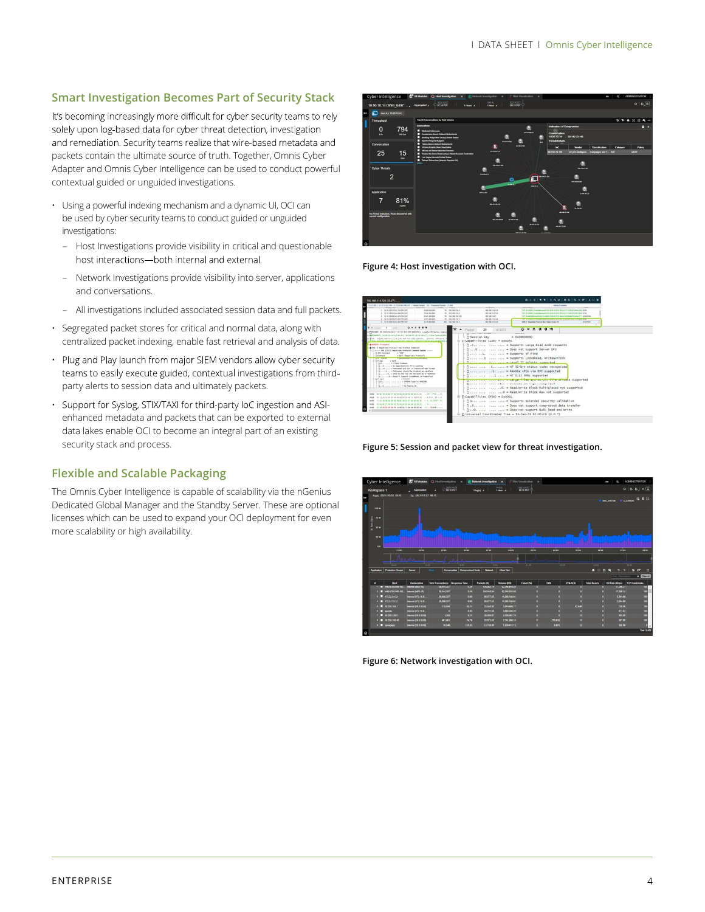#### Smart Investigation Becomes Part of Security Stack

It's becoming increasingly more difficult for cyber security teams to rely solely upon log-based data for cyber threat detection, investigation and remediation. Security teams realize that wire-based metadata and packets contain the ultimate source of truth. Together, Omnis Cyber 25 15 Adapter and Omnis Cyber Intelligence can be used to conduct powerful contextual guided or unguided investigations.

- Using a powerful indexing mechanism and a dynamic UI, OCI can be used by cyber security teams to conduct guided or unguided investigations:
	- Host Investigations provide visibility in critical and questionable<br>host interactions—both internal and external.<br>- Network Investigations provide visibility into server, applications
	- and conversations.
	- All investigations included associated session data and full packets.
- Segregated packet stores for critical and normal data, along with centralized packet indexing, enable fast retrieval and analysis of data.
- Plug and Play launch from major SIEM vendors allow cyber security teams to easily execute guided, contextual investigations from thirdparty alerts to session data and ultimately packets.
- Support for Syslog, STIX/TAXI for third-party loC ingestion and ASIenhanced metadata and packets that can be exported to external data lakes enable OCI to become an integral part of an existing security stack and process.

#### Flexible and Scalable Packaging

The Omnis Cyber Intelligence is capable of scalability via the nGenius Dedicated Global Manager and the Standby Server. These are optional licenses which can be used to expand your OCI deployment for even more scalability or high availability.



Figure 4: Host investigation with OCI.



Figure 5: Session and packet view for threat investigation.



Figure 6: Network investigation with OCI.